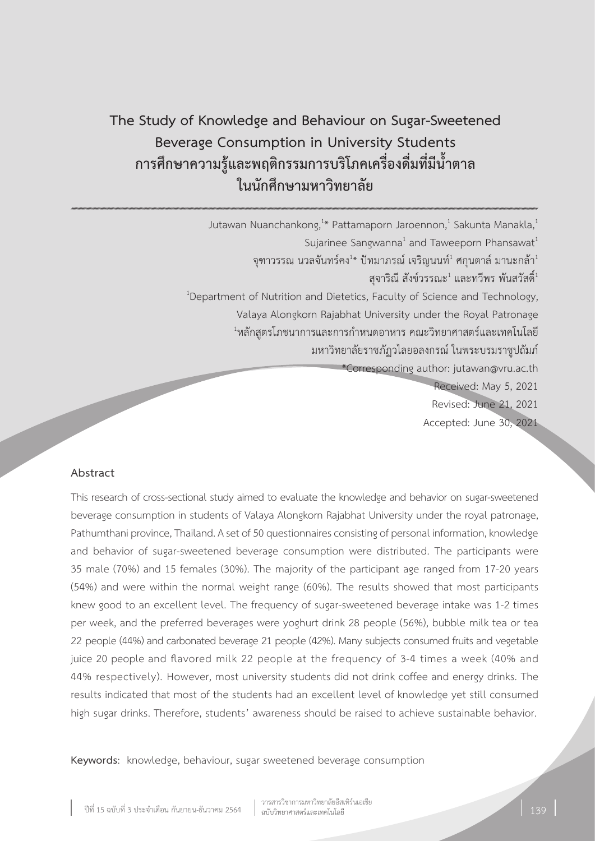# **The Study of Knowledge and Behaviour on Sugar-Sweetened Beverage Consumption in University Students การศึกษาความรู้และพฤติกรรมการบริโภคเครื่องดื่มที่มีน�้ำตาล ในนักศึกษามหาวิทยาลัย**

Jutawan Nuanchankong, $^{1*}$  Pattamaporn Jaroennon, $^{1}$  Sakunta Manakla, $^{1}$ 

จุฑาวรรณ นวลจันทร์คง $^{1\ast}$  ปัทมาภรณ์ เจริญนนท์ $^1$  ศกุนตาล์ มานะกล้า $^1$ 

<sup>1</sup>Department of Nutrition and Dietetics, Faculty of Science and Technology,

Valaya Alongkorn Rajabhat University under the Royal Patronage

 $^{\text{\tiny{1}}}$ หลักสูตรโภชนาการและการกำหนดอาหาร คณะวิทยาศาสตร์และเทคโนโลยี

มหาวิทยาลัยราชภัฏวไลยอลงกรณ์ ในพระบรมราชูปถัมภ์

\*Corresponding author: jutawan@vru.ac.th

Received: May 5, 2021 Revised: June 21, 2021 Accepted: June 30, 2021

## **Abstract**

This research of cross-sectional study aimed to evaluate the knowledge and behavior on sugar-sweetened beverage consumption in students of Valaya Alongkorn Rajabhat University under the royal patronage, Pathumthani province, Thailand. A set of 50 questionnaires consisting of personal information, knowledge and behavior of sugar-sweetened beverage consumption were distributed. The participants were 35 male (70%) and 15 females (30%). The majority of the participant age ranged from 17-20 years (54%) and were within the normal weight range (60%). The results showed that most participants knew good to an excellent level. The frequency of sugar-sweetened beverage intake was 1-2 times per week, and the preferred beverages were yoghurt drink 28 people (56%), bubble milk tea or tea 22 people (44%) and carbonated beverage 21 people (42%). Many subjects consumed fruits and vegetable juice 20 people and flavored milk 22 people at the frequency of 3-4 times a week (40% and 44% respectively). However, most university students did not drink coffee and energy drinks. The results indicated that most of the students had an excellent level of knowledge yet still consumed high sugar drinks. Therefore, students' awareness should be raised to achieve sustainable behavior.

**Keywords**: knowledge, behaviour, sugar sweetened beverage consumption

Sujarinee Sangwanna<sup>1</sup> and Taweeporn Phansawat<sup>1</sup>

<sup>ี</sup> สุจาริณี สังข์วรรณะ<sup>1</sup> และทวีพร พันสวัสดิ์<sup>1</sup>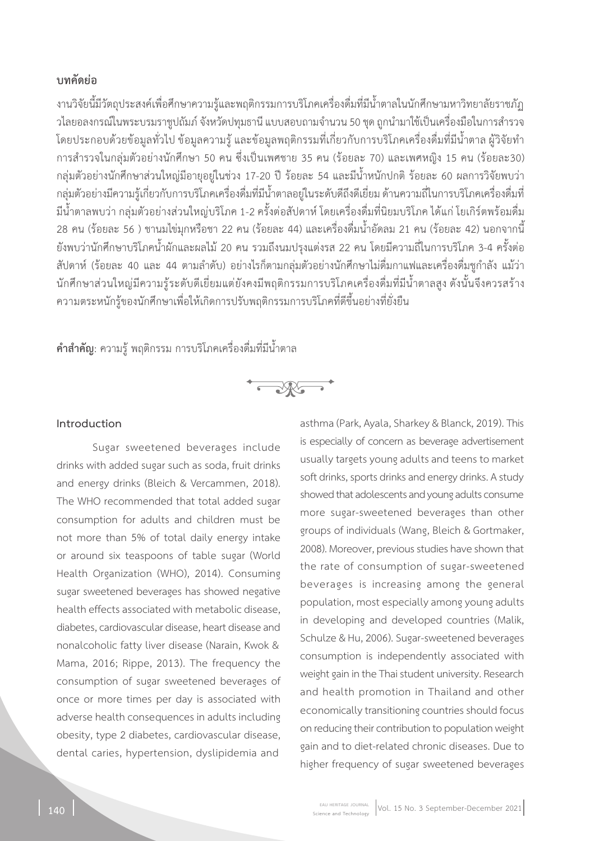# **บทคัดย่อ**

งานวิจัยนี้มีวัตถุประสงค์เพื่อศึกษาความรู้และพฤติกรรมการบริโภคเครื่องดื่มที่มีน�้ำตาลในนักศึกษามหาวิทยาลัยราชภัฏ ้วไลยอลงกรณ์ในพระบรมราชปถัมภ์ จังหวัดปทมธานี แบบสอบถามจำนวน 50 ชุด ถูกนำมาใช้เป็นเครื่องมือในการสำรวจ โดยประกอบด้วยข้อมูลทั่วไป ข้อมูลความรู้ และข้อมูลพฤติกรรมที่เกี่ยวกับการบริโภคเครื่องดื่มที่มีน�้ำตาล ผู้วิจัยท�ำ การส�ำรวจในกลุ่มตัวอย่างนักศึกษา 50 คน ซึ่งเป็นเพศชาย 35 คน (ร้อยละ 70) และเพศหญิง 15 คน (ร้อยละ30) กลุ่มตัวอย่างนักศึกษาส่วนใหญ่มีอายุอยู่ในช่วง 17-20 ปี ร้อยละ 54 และมีน้ำหนักปกติ ร้อยละ 60 ผลการวิจัยพบว่า กลุ่มตัวอย่างมีความรู้เกี่ยวกับการบริโภคเครื่องดื่มที่มีน�้ำตาลอยู่ในระดับดีถึงดีเยี่ยม ด้านความถี่ในการบริโภคเครื่องดื่มที่ มีน�้ำตาลพบว่า กลุ่มตัวอย่างส่วนใหญ่บริโภค 1-2 ครั้งต่อสัปดาห์ โดยเครื่องดื่มที่นิยมบริโภค ได้แก่ โยเกิร์ตพร้อมดื่ม 28 คน (ร้อยละ 56 ) ชานมไข่มุกหรือชา 22 คน (ร้อยละ 44) และเครื่องดื่มน�้ำอัดลม 21 คน (ร้อยละ 42) นอกจากนี้ ยังพบว่านักศึกษาบริโภคน�้ำผักและผลไม้ 20 คน รวมถึงนมปรุงแต่งรส 22 คน โดยมีความถี่ในการบริโภค 3-4 ครั้งต่อ สัปดาห์ (ร้อยละ 40 และ 44 ตามลำดับ) อย่างไรก็ตามกลุ่มตัวอย่างนักศึกษาไม่ดื่มกาแฟและเครื่องดื่มชูกำลัง แม้ว่า นักศึกษาส่วนใหญ่มีความร้ระดับดีเยี่ยมแต่ยังคงมีพฤติกรรมการบริโภคเครื่องดื่มที่มีน้ำตาลสง ดังนั้นจึงควรสร้าง ความตระหนักรู้ของนักศึกษาเพื่อให้เกิดการปรับพฤติกรรมการบริโภคที่ดีขึ้นอย่างที่ยั่งยืน

**ค�ำส�ำคัญ**: ความรู้ พฤติกรรม การบริโภคเครื่องดื่มที่มีน�้ำตาล



#### **Introduction**

Sugar sweetened beverages include drinks with added sugar such as soda, fruit drinks and energy drinks (Bleich & Vercammen, 2018). The WHO recommended that total added sugar consumption for adults and children must be not more than 5% of total daily energy intake or around six teaspoons of table sugar (World Health Organization (WHO), 2014). Consuming sugar sweetened beverages has showed negative health effects associated with metabolic disease, diabetes, cardiovascular disease, heart disease and nonalcoholic fatty liver disease (Narain, Kwok & Mama, 2016; Rippe, 2013). The frequency the consumption of sugar sweetened beverages of once or more times per day is associated with adverse health consequences in adults including obesity, type 2 diabetes, cardiovascular disease, dental caries, hypertension, dyslipidemia and

asthma (Park, Ayala, Sharkey & Blanck, 2019). This is especially of concern as beverage advertisement usually targets young adults and teens to market soft drinks, sports drinks and energy drinks. A study showed that adolescents and young adults consume more sugar-sweetened beverages than other groups of individuals (Wang, Bleich & Gortmaker, 2008). Moreover, previous studies have shown that the rate of consumption of sugar-sweetened beverages is increasing among the general population, most especially among young adults in developing and developed countries (Malik, Schulze & Hu, 2006). Sugar-sweetened beverages consumption is independently associated with weight gain in the Thai student university. Research and health promotion in Thailand and other economically transitioning countries should focus on reducing their contribution to population weight gain and to diet-related chronic diseases. Due to higher frequency of sugar sweetened beverages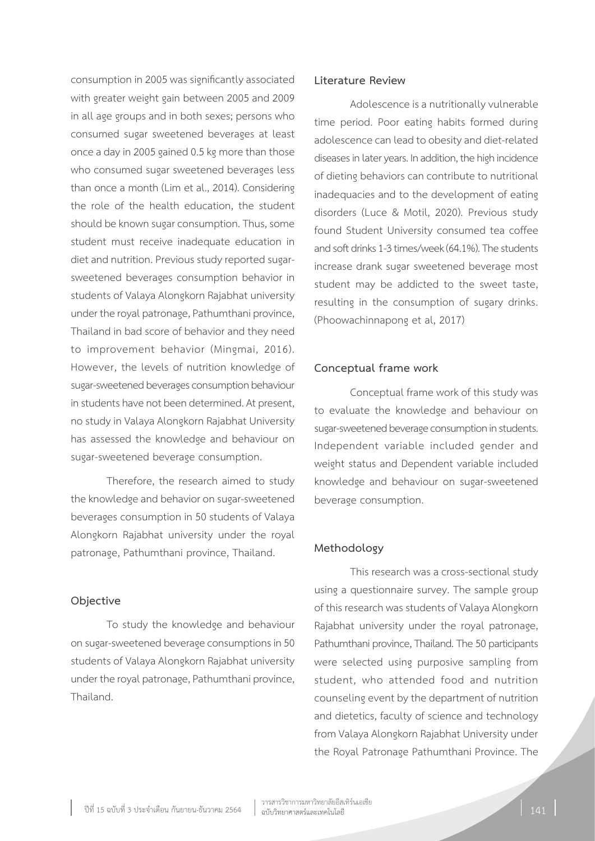consumption in 2005 was significantly associated with greater weight gain between 2005 and 2009 in all age groups and in both sexes; persons who consumed sugar sweetened beverages at least once a day in 2005 gained 0.5 kg more than those who consumed sugar sweetened beverages less than once a month (Lim et al., 2014). Considering the role of the health education, the student should be known sugar consumption. Thus, some student must receive inadequate education in diet and nutrition. Previous study reported sugarsweetened beverages consumption behavior in students of Valaya Alongkorn Rajabhat university under the royal patronage, Pathumthani province, Thailand in bad score of behavior and they need to improvement behavior (Mingmai, 2016). However, the levels of nutrition knowledge of sugar-sweetened beverages consumption behaviour in students have not been determined. At present, no study in Valaya Alongkorn Rajabhat University has assessed the knowledge and behaviour on sugar-sweetened beverage consumption.

Therefore, the research aimed to study the knowledge and behavior on sugar-sweetened beverages consumption in 50 students of Valaya Alongkorn Rajabhat university under the royal patronage, Pathumthani province, Thailand.

#### **Objective**

To study the knowledge and behaviour on sugar-sweetened beverage consumptions in 50 students of Valaya Alongkorn Rajabhat university under the royal patronage, Pathumthani province, Thailand.

#### **Literature Review**

Adolescence is a nutritionally vulnerable time period. Poor eating habits formed during adolescence can lead to obesity and diet-related diseases in later years. In addition, the high incidence of dieting behaviors can contribute to nutritional inadequacies and to the development of eating disorders (Luce & Motil, 2020). Previous study found Student University consumed tea coffee and soft drinks 1-3 times/week (64.1%). The students increase drank sugar sweetened beverage most student may be addicted to the sweet taste, resulting in the consumption of sugary drinks. (Phoowachinnapong et al, 2017)

#### **Conceptual frame work**

Conceptual frame work of this study was to evaluate the knowledge and behaviour on sugar-sweetened beverage consumption in students. Independent variable included gender and weight status and Dependent variable included knowledge and behaviour on sugar-sweetened beverage consumption.

#### **Methodology**

This research was a cross-sectional study using a questionnaire survey. The sample group of this research was students of Valaya Alongkorn Rajabhat university under the royal patronage, Pathumthani province, Thailand. The 50 participants were selected using purposive sampling from student, who attended food and nutrition counseling event by the department of nutrition and dietetics, faculty of science and technology from Valaya Alongkorn Rajabhat University under the Royal Patronage Pathumthani Province. The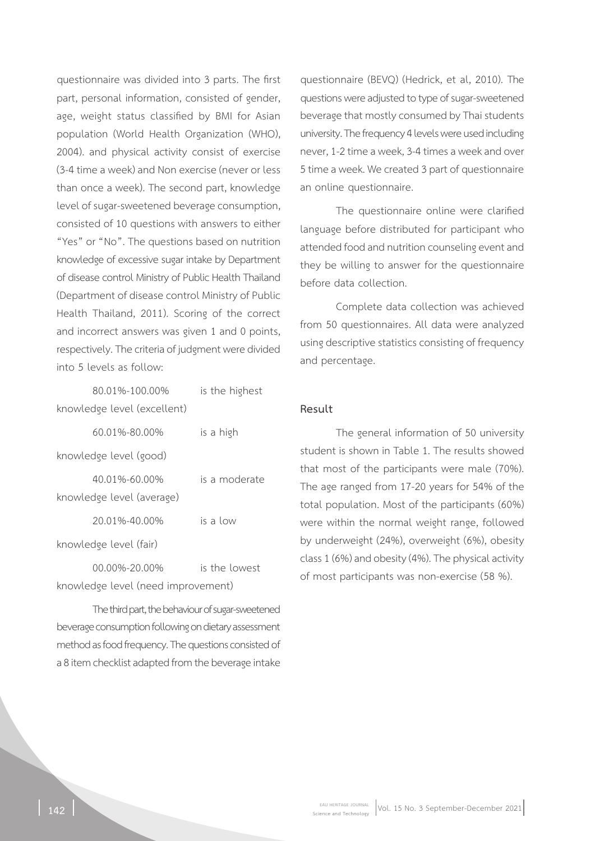questionnaire was divided into 3 parts. The first part, personal information, consisted of gender, age, weight status classified by BMI for Asian population (World Health Organization (WHO), 2004). and physical activity consist of exercise (3-4 time a week) and Non exercise (never or less than once a week). The second part, knowledge level of sugar-sweetened beverage consumption, consisted of 10 questions with answers to either "Yes" or "No". The questions based on nutrition knowledge of excessive sugar intake by Department of disease control Ministry of Public Health Thailand (Department of disease control Ministry of Public Health Thailand, 2011). Scoring of the correct and incorrect answers was given 1 and 0 points, respectively. The criteria of judgment were divided into 5 levels as follow:

| 80.01%-100.00%              | is the highest |
|-----------------------------|----------------|
| knowledge level (excellent) |                |
| 60.01%-80.00%               | is a high      |
| knowledge level (good)      |                |
| $40.01\% - 60.00\%$         | is a moderate  |
| knowledge level (average)   |                |
| 20.01%-40.00%               | is a low       |
| knowledge level (fair)      |                |
|                             |                |

00.00%-20.00% is the lowest knowledge level (need improvement)

The third part, the behaviour of sugar-sweetened beverage consumption following on dietary assessment method as food frequency. The questions consisted of a 8 item checklist adapted from the beverage intake

questionnaire (BEVQ) (Hedrick, et al, 2010). The questions were adjusted to type of sugar-sweetened beverage that mostly consumed by Thai students university. The frequency 4 levels were used including never, 1-2 time a week, 3-4 times a week and over 5 time a week. We created 3 part of questionnaire an online questionnaire.

The questionnaire online were clarified language before distributed for participant who attended food and nutrition counseling event and they be willing to answer for the questionnaire before data collection.

Complete data collection was achieved from 50 questionnaires. All data were analyzed using descriptive statistics consisting of frequency and percentage.

#### **Result**

The general information of 50 university student is shown in Table 1. The results showed that most of the participants were male (70%). The age ranged from 17-20 years for 54% of the total population. Most of the participants (60%) were within the normal weight range, followed by underweight (24%), overweight (6%), obesity class 1 (6%) and obesity (4%). The physical activity of most participants was non-exercise (58 %).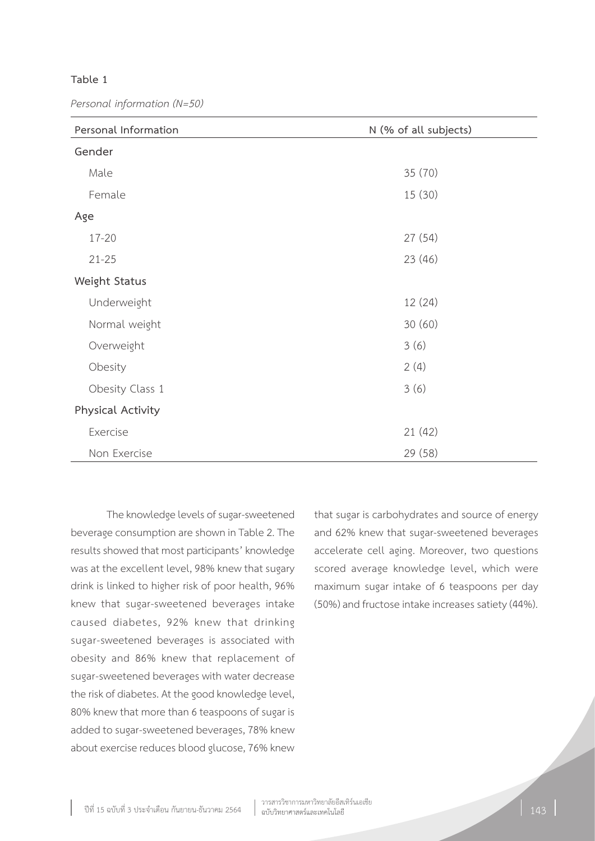#### **Table 1**

*Personal information (N=50)*

| Personal Information | N (% of all subjects) |
|----------------------|-----------------------|
| Gender               |                       |
| Male                 | 35 (70)               |
| Female               | 15(30)                |
| Age                  |                       |
| $17 - 20$            | 27(54)                |
| $21 - 25$            | 23(46)                |
| Weight Status        |                       |
| Underweight          | 12 (24)               |
| Normal weight        | 30(60)                |
| Overweight           | 3(6)                  |
| Obesity              | 2(4)                  |
| Obesity Class 1      | 3(6)                  |
| Physical Activity    |                       |
| Exercise             | 21 (42)               |
| Non Exercise         | 29 (58)               |

The knowledge levels of sugar-sweetened beverage consumption are shown in Table 2. The results showed that most participants' knowledge was at the excellent level, 98% knew that sugary drink is linked to higher risk of poor health, 96% knew that sugar-sweetened beverages intake caused diabetes, 92% knew that drinking sugar-sweetened beverages is associated with obesity and 86% knew that replacement of sugar-sweetened beverages with water decrease the risk of diabetes. At the good knowledge level, 80% knew that more than 6 teaspoons of sugar is added to sugar-sweetened beverages, 78% knew about exercise reduces blood glucose, 76% knew

that sugar is carbohydrates and source of energy and 62% knew that sugar-sweetened beverages accelerate cell aging. Moreover, two questions scored average knowledge level, which were maximum sugar intake of 6 teaspoons per day (50%) and fructose intake increases satiety (44%).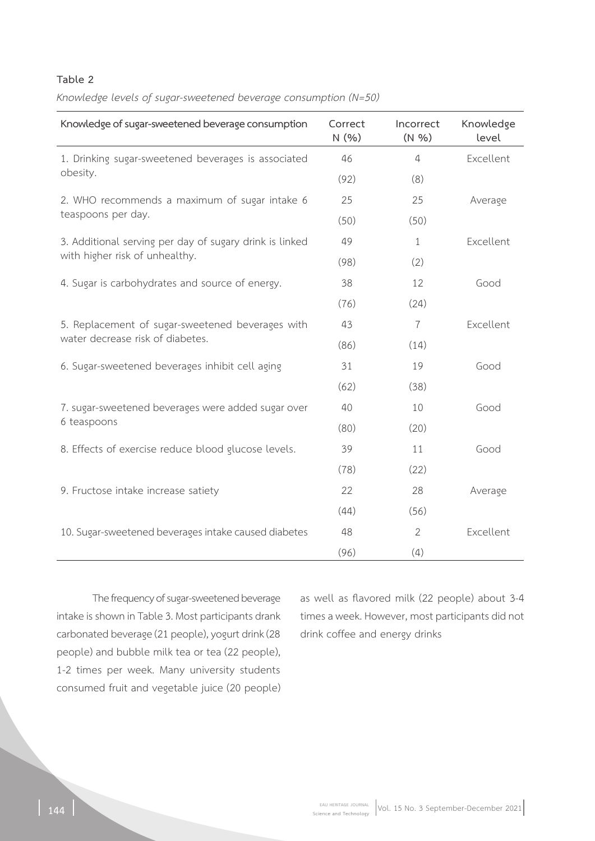## **Table 2**

*Knowledge levels of sugar-sweetened beverage consumption (N=50)*

| Knowledge of sugar-sweetened beverage consumption                                         | Correct<br>N(% ) | Incorrect<br>(N %) | Knowledge<br>level |
|-------------------------------------------------------------------------------------------|------------------|--------------------|--------------------|
| 1. Drinking sugar-sweetened beverages is associated<br>obesity.                           | 46               | $\overline{4}$     | Excellent          |
|                                                                                           | (92)             | (8)                |                    |
| 2. WHO recommends a maximum of sugar intake 6<br>teaspoons per day.                       | 25               | 25                 | Average            |
|                                                                                           | (50)             | (50)               |                    |
| 3. Additional serving per day of sugary drink is linked<br>with higher risk of unhealthy. | 49               | $\mathbf{1}$       | Excellent          |
|                                                                                           | (98)             | (2)                |                    |
| 4. Sugar is carbohydrates and source of energy.                                           | 38               | 12                 | Good               |
|                                                                                           | (76)             | (24)               |                    |
| 5. Replacement of sugar-sweetened beverages with                                          | 43               | $\overline{7}$     | Excellent          |
| water decrease risk of diabetes.                                                          | (86)             | (14)               |                    |
| 6. Sugar-sweetened beverages inhibit cell aging                                           | 31               | 19                 | Good               |
|                                                                                           | (62)             | (38)               |                    |
| 7. sugar-sweetened beverages were added sugar over                                        | 40               | 10                 | Good               |
| 6 teaspoons                                                                               | (80)             | (20)               |                    |
| 8. Effects of exercise reduce blood glucose levels.                                       | 39               | 11                 | Good               |
|                                                                                           | (78)             | (22)               |                    |
| 9. Fructose intake increase satiety                                                       | 22               | 28                 | Average            |
|                                                                                           | (44)             | (56)               |                    |
| 10. Sugar-sweetened beverages intake caused diabetes                                      | 48               | 2                  | Excellent          |
|                                                                                           | (96)             | (4)                |                    |

The frequency of sugar-sweetened beverage intake is shown in Table 3. Most participants drank carbonated beverage (21 people), yogurt drink (28 people) and bubble milk tea or tea (22 people), 1-2 times per week. Many university students consumed fruit and vegetable juice (20 people)

as well as flavored milk (22 people) about 3-4 times a week. However, most participants did not drink coffee and energy drinks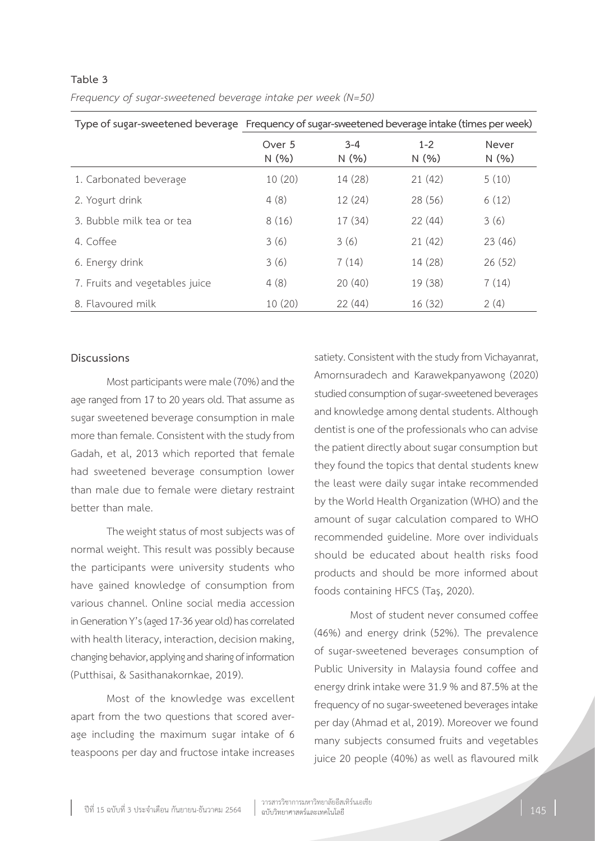|                                | Type of sugar-sweetened beverage Frequency of sugar-sweetened beverage intake (times per week) |                 |                 |                |
|--------------------------------|------------------------------------------------------------------------------------------------|-----------------|-----------------|----------------|
|                                | Over 5<br>N(%)                                                                                 | $3 - 4$<br>N(%) | $1 - 2$<br>N(%) | Never<br>N(% ) |
| 1. Carbonated beverage         | 10(20)                                                                                         | 14 (28)         | 21(42)          | 5(10)          |
| 2. Yogurt drink                | 4(8)                                                                                           | 12(24)          | 28 (56)         | 6(12)          |
| 3. Bubble milk tea or tea      | 8(16)                                                                                          | 17(34)          | 22(44)          | 3(6)           |
| 4. Coffee                      | 3(6)                                                                                           | 3(6)            | 21(42)          | 23(46)         |
| 6. Energy drink                | 3(6)                                                                                           | 7(14)           | 14 (28)         | 26(52)         |
| 7. Fruits and vegetables juice | 4(8)                                                                                           | 20(40)          | 19 (38)         | 7(14)          |
| 8. Flavoured milk              | 10(20)                                                                                         | 22(44)          | 16(32)          | 2(4)           |

## **Table 3**  *Frequency of sugar-sweetened beverage intake per week (N=50)*

#### **Discussions**

Most participants were male (70%) and the age ranged from 17 to 20 years old. That assume as sugar sweetened beverage consumption in male more than female. Consistent with the study from Gadah, et al, 2013 which reported that female had sweetened beverage consumption lower than male due to female were dietary restraint better than male.

The weight status of most subjects was of normal weight. This result was possibly because the participants were university students who have gained knowledge of consumption from various channel. Online social media accession in Generation Y's (aged 17-36 year old) has correlated with health literacy, interaction, decision making, changing behavior, applying and sharing of information (Putthisai, & Sasithanakornkae, 2019).

Most of the knowledge was excellent apart from the two questions that scored average including the maximum sugar intake of 6 teaspoons per day and fructose intake increases

satiety. Consistent with the study from Vichayanrat, Amornsuradech and Karawekpanyawong (2020) studied consumption of sugar-sweetened beverages and knowledge among dental students. Although dentist is one of the professionals who can advise the patient directly about sugar consumption but they found the topics that dental students knew the least were daily sugar intake recommended by the World Health Organization (WHO) and the amount of sugar calculation compared to WHO recommended guideline. More over individuals should be educated about health risks food products and should be more informed about foods containing HFCS (Taş, 2020).

Most of student never consumed coffee (46%) and energy drink (52%). The prevalence of sugar-sweetened beverages consumption of Public University in Malaysia found coffee and energy drink intake were 31.9 % and 87.5% at the frequency of no sugar-sweetened beverages intake per day (Ahmad et al, 2019). Moreover we found many subjects consumed fruits and vegetables juice 20 people (40%) as well as flavoured milk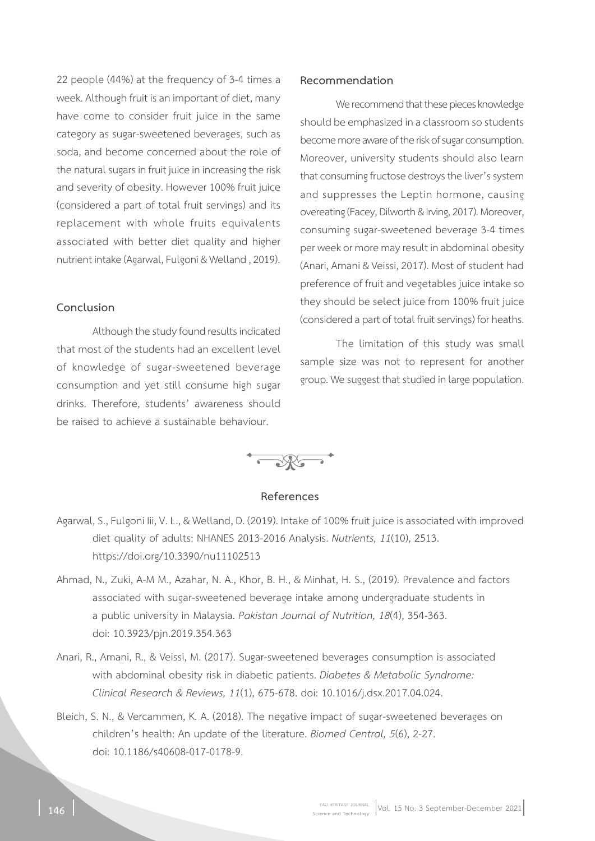22 people (44%) at the frequency of 3-4 times a week. Although fruit is an important of diet, many have come to consider fruit juice in the same category as sugar-sweetened beverages, such as soda, and become concerned about the role of the natural sugars in fruit juice in increasing the risk and severity of obesity. However 100% fruit juice (considered a part of total fruit servings) and its replacement with whole fruits equivalents associated with better diet quality and higher nutrient intake (Agarwal, Fulgoni & Welland , 2019).

#### **Conclusion**

Although the study found results indicated that most of the students had an excellent level of knowledge of sugar-sweetened beverage consumption and yet still consume high sugar drinks. Therefore, students' awareness should be raised to achieve a sustainable behaviour.

#### **Recommendation**

We recommend that these pieces knowledge should be emphasized in a classroom so students become more aware of the risk of sugar consumption. Moreover, university students should also learn that consuming fructose destroys the liver's system and suppresses the Leptin hormone, causing overeating (Facey, Dilworth & Irving, 2017). Moreover, consuming sugar-sweetened beverage 3-4 times per week or more may result in abdominal obesity (Anari, Amani & Veissi, 2017). Most of student had preference of fruit and vegetables juice intake so they should be select juice from 100% fruit juice (considered a part of total fruit servings) for heaths.

The limitation of this study was small sample size was not to represent for another group. We suggest that studied in large population.



#### **References**

- Agarwal, S., Fulgoni Iii, V. L., & Welland, D. (2019). Intake of 100% fruit juice is associated with improved diet quality of adults: NHANES 2013-2016 Analysis. *Nutrients, 11*(10), 2513. https://doi.org/10.3390/nu11102513
- Ahmad, N., Zuki, A-M M., Azahar, N. A., Khor, B. H., & Minhat, H. S., (2019). Prevalence and factors associated with sugar-sweetened beverage intake among undergraduate students in a public university in Malaysia. *Pakistan Journal of Nutrition, 18*(4), 354-363. doi: 10.3923/pjn.2019.354.363
- Anari, R., Amani, R., & Veissi, M. (2017). Sugar-sweetened beverages consumption is associated with abdominal obesity risk in diabetic patients. *Diabetes & Metabolic Syndrome: Clinical Research & Reviews, 11*(1), 675-678. doi: 10.1016/j.dsx.2017.04.024.
- Bleich, S. N., & Vercammen, K. A. (2018). The negative impact of sugar-sweetened beverages on children's health: An update of the literature. *Biomed Central, 5*(6), 2-27. doi: 10.1186/s40608-017-0178-9.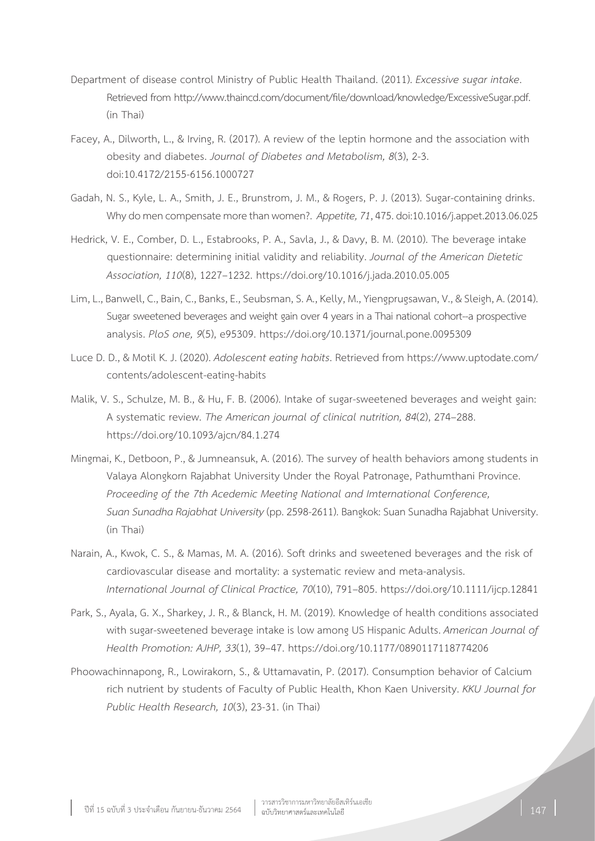- Department of disease control Ministry of Public Health Thailand. (2011). *Excessive sugar intake*. Retrieved from http://www.thaincd.com/document/file/download/knowledge/ExcessiveSugar.pdf. (in Thai)
- Facey, A., Dilworth, L., & Irving, R. (2017). A review of the leptin hormone and the association with obesity and diabetes. *Journal of Diabetes and Metabolism, 8*(3), 2-3. doi:10.4172/2155-6156.1000727
- Gadah, N. S., Kyle, L. A., Smith, J. E., Brunstrom, J. M., & Rogers, P. J. (2013). Sugar-containing drinks. Why do men compensate more than women?. *Appetite, 71*, 475. doi:10.1016/j.appet.2013.06.025
- Hedrick, V. E., Comber, D. L., Estabrooks, P. A., Savla, J., & Davy, B. M. (2010). The beverage intake questionnaire: determining initial validity and reliability. *Journal of the American Dietetic Association, 110*(8), 1227–1232. https://doi.org/10.1016/j.jada.2010.05.005
- Lim, L., Banwell, C., Bain, C., Banks, E., Seubsman, S. A., Kelly, M., Yiengprugsawan, V., & Sleigh, A. (2014). Sugar sweetened beverages and weight gain over 4 years in a Thai national cohort--a prospective analysis. *PloS one, 9*(5), e95309. https://doi.org/10.1371/journal.pone.0095309
- Luce D. D., & Motil K. J. (2020). *Adolescent eating habits*. Retrieved from https://www.uptodate.com/ contents/adolescent-eating-habits
- Malik, V. S., Schulze, M. B., & Hu, F. B. (2006). Intake of sugar-sweetened beverages and weight gain: A systematic review. *The American journal of clinical nutrition, 84*(2), 274–288. https://doi.org/10.1093/ajcn/84.1.274
- Mingmai, K., Detboon, P., & Jumneansuk, A. (2016). The survey of health behaviors among students in Valaya Alongkorn Rajabhat University Under the Royal Patronage, Pathumthani Province. *Proceeding of the 7th Acedemic Meeting National and Imternational Conference, Suan Sunadha Rajabhat University* (pp. 2598-2611). Bangkok: Suan Sunadha Rajabhat University. (in Thai)
- Narain, A., Kwok, C. S., & Mamas, M. A. (2016). Soft drinks and sweetened beverages and the risk of cardiovascular disease and mortality: a systematic review and meta-analysis. *International Journal of Clinical Practice, 70*(10), 791–805. https://doi.org/10.1111/ijcp.12841
- Park, S., Ayala, G. X., Sharkey, J. R., & Blanck, H. M. (2019). Knowledge of health conditions associated with sugar-sweetened beverage intake is low among US Hispanic Adults. *American Journal of Health Promotion: AJHP, 33*(1), 39–47. https://doi.org/10.1177/0890117118774206
- Phoowachinnapong, R., Lowirakorn, S., & Uttamavatin, P. (2017). Consumption behavior of Calcium rich nutrient by students of Faculty of Public Health, Khon Kaen University. *KKU Journal for Public Health Research, 10*(3), 23-31. (in Thai)